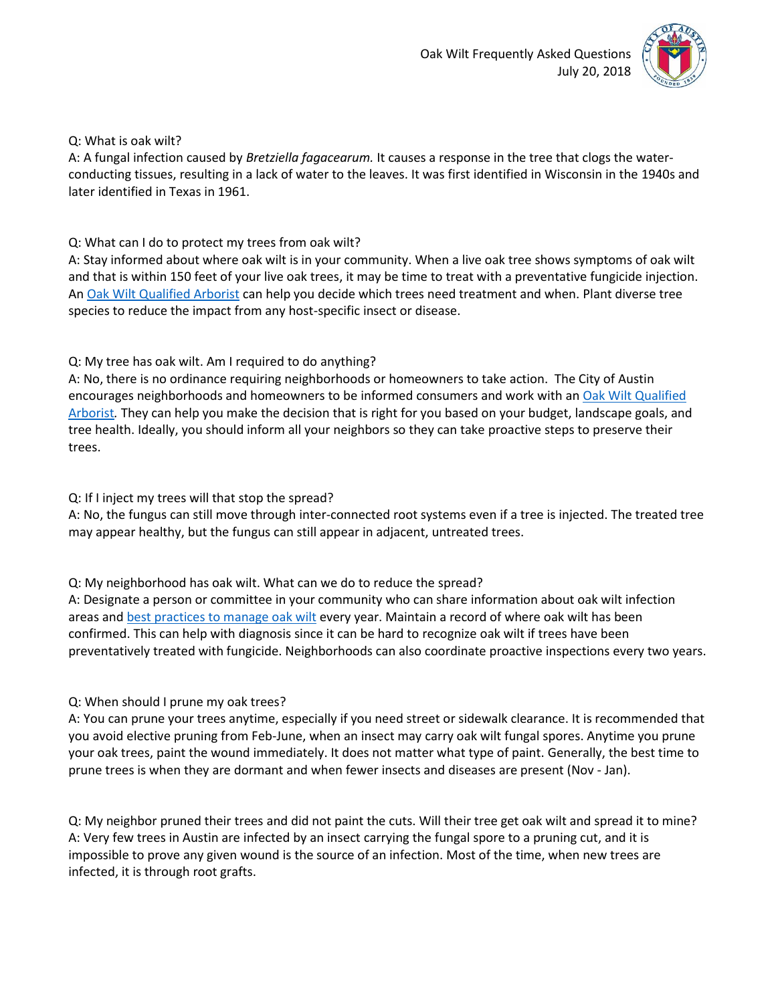

#### Q: What is oak wilt?

A: A fungal infection caused by *Bretziella fagacearum.* It causes a response in the tree that clogs the waterconducting tissues, resulting in a lack of water to the leaves. It was first identified in Wisconsin in the 1940s and later identified in Texas in 1961.

## Q: What can I do to protect my trees from oak wilt?

A: Stay informed about where oak wilt is in your community. When a live oak tree shows symptoms of oak wilt and that is within 150 feet of your live oak trees, it may be time to treat with a preventative fungicide injection. A[n Oak Wilt Qualified Arborist](http://isatexas.com/for-the-public/texas-oak-wilt-qualified-and-certified-arborists/) can help you decide which trees need treatment and when. Plant diverse tree species to reduce the impact from any host-specific insect or disease.

# Q: My tree has oak wilt. Am I required to do anything?

A: No, there is no ordinance requiring neighborhoods or homeowners to take action. The City of Austin encourages neighborhoods and homeowners to be informed consumers and work with an Oak Wilt Qualified [Arborist](http://isatexas.com/for-the-public/texas-oak-wilt-qualified-and-certified-arborists/)*.* They can help you make the decision that is right for you based on your budget, landscape goals, and tree health. Ideally, you should inform all your neighbors so they can take proactive steps to preserve their trees.

## Q: If I inject my trees will that stop the spread?

A: No, the fungus can still move through inter-connected root systems even if a tree is injected. The treated tree may appear healthy, but the fungus can still appear in adjacent, untreated trees.

## Q: My neighborhood has oak wilt. What can we do to reduce the spread?

A: Designate a person or committee in your community who can share information about oak wilt infection areas and [best practices to manage oak wilt](http://texasoakwilt.org/) every year. Maintain a record of where oak wilt has been confirmed. This can help with diagnosis since it can be hard to recognize oak wilt if trees have been preventatively treated with fungicide. Neighborhoods can also coordinate proactive inspections every two years.

## Q: When should I prune my oak trees?

A: You can prune your trees anytime, especially if you need street or sidewalk clearance. It is recommended that you avoid elective pruning from Feb-June, when an insect may carry oak wilt fungal spores. Anytime you prune your oak trees, paint the wound immediately. It does not matter what type of paint. Generally, the best time to prune trees is when they are dormant and when fewer insects and diseases are present (Nov - Jan).

Q: My neighbor pruned their trees and did not paint the cuts. Will their tree get oak wilt and spread it to mine? A: Very few trees in Austin are infected by an insect carrying the fungal spore to a pruning cut, and it is impossible to prove any given wound is the source of an infection. Most of the time, when new trees are infected, it is through root grafts.